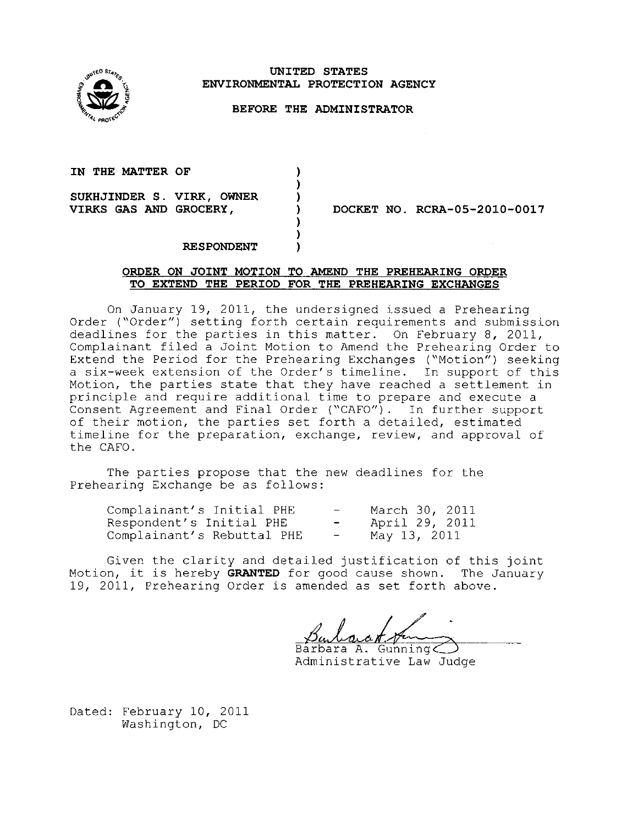

# **UNITED STATES ENVIRONMENTAL PROTECTION AGENCY**

## **BEFORE THE ADMINISTRATOR**

) ) ) ) ) ) )

# **IN THE MATTER OF**

**SUKHJINDER S. VIRK, OWNER VIRKS GAS AND GROCERY,** 

**DOCKET NO. RCRA-05-2010-0017** 

#### **RESPONDENT**

## **ORDER ON JOINT MOTION TO AMEND THE PREHEARING ORDER TO EXTEND THE PERIOD FOR THE PREHEARING EXCHANGES**

On January 19, 2011, the undersigned issued a Prehearing Order ("Order") setting forth certain requirements and submission deadlines for the parties in this matter. On February 8, 2011, Complainant filed a Joint Motion to Amend the Prehearing Order to Extend the Period for the Prehearing Exchanges ("Motion") seeking a six-week extension of the Order's timeline. In support of this Motion, the parties state that they have reached a settlement in principle and require additional time to prepare and execute a Consent Agreement and Final Order ("CAFO"). In further support of their motion, the parties set forth a detailed, estimated timeline for the preparation, exchange, review, and approval of the CAFO.

The parties propose that the new deadlines for the Prehearing Exchange be as follows:

| Complainant's Initial PHE  | $\overline{\phantom{0}}$ | March 30, 2011 |
|----------------------------|--------------------------|----------------|
| Respondent's Initial PHE   | $\overline{\phantom{0}}$ | April 29, 2011 |
| Complainant's Rebuttal PHE | $\overline{\phantom{0}}$ | May 13, 2011   |

Given the clarity and detailed justification of this joint Motion, it is hereby **GRANTED** for good cause shown. The January 19, 2011, Prehearing Order is amended as set forth above.

Barbara A. Gunning

Administrative Law Judge

Dated: February 10, 2011 Washington, DC